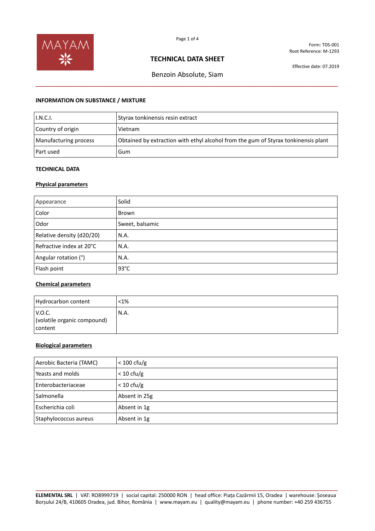

Form: TDS-001 Root Reference: M-1293

## **TECHNICAL DATA SHEET**

Effective date: 07.2019

# Benzoin Absolute, Siam **\_\_\_\_\_\_\_\_\_\_\_\_\_\_\_\_\_\_\_\_\_\_\_\_\_\_\_\_\_\_\_\_\_\_\_\_\_\_\_\_\_\_\_\_\_\_\_\_\_\_\_\_\_\_\_\_\_\_\_\_\_\_\_\_\_\_\_\_\_\_\_\_\_\_\_\_\_\_\_\_**

### **INFORMATION ON SUBSTANCE / MIXTURE**

| I.N.C.I.              | Styrax tonkinensis resin extract                                                   |
|-----------------------|------------------------------------------------------------------------------------|
| Country of origin     | Vietnam                                                                            |
| Manufacturing process | Obtained by extraction with ethyl alcohol from the gum of Styrax tonkinensis plant |
| Part used             | Gum                                                                                |

# **TECHNICAL DATA**

## **Physical parameters**

| Appearance                | Solid           |
|---------------------------|-----------------|
| Color                     | Brown           |
| Odor                      | Sweet, balsamic |
| Relative density (d20/20) | N.A.            |
| Refractive index at 20°C  | N.A.            |
| Angular rotation (°)      | N.A.            |
| Flash point               | $93^{\circ}$ C  |

### **Chemical parameters**

| Hydrocarbon content                              | $< 1\%$ |
|--------------------------------------------------|---------|
| V.O.C.<br>(volatile organic compound)<br>content | N.A.    |

## **Biological parameters**

| Aerobic Bacteria (TAMC) | $< 100 \text{ cfu/g}$ |
|-------------------------|-----------------------|
| Yeasts and molds        | $< 10 \text{ cfu/g}$  |
| Enterobacteriaceae      | $< 10 \text{ cfu/g}$  |
| Salmonella              | Absent in 25g         |
| Escherichia coli        | Absent in 1g          |
| Staphylococcus aureus   | Absent in 1g          |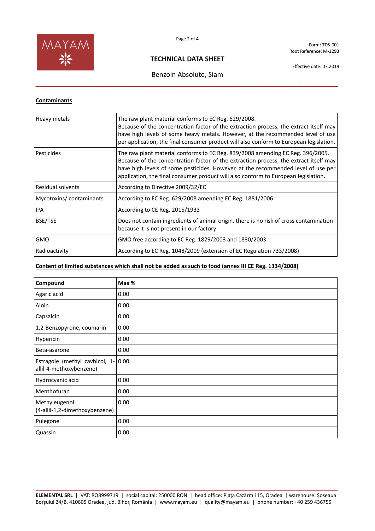

Form: TDS-001 Root Reference: M-1293

# **TECHNICAL DATA SHEET**

# Benzoin Absolute, Siam **\_\_\_\_\_\_\_\_\_\_\_\_\_\_\_\_\_\_\_\_\_\_\_\_\_\_\_\_\_\_\_\_\_\_\_\_\_\_\_\_\_\_\_\_\_\_\_\_\_\_\_\_\_\_\_\_\_\_\_\_\_\_\_\_\_\_\_\_\_\_\_\_\_\_\_\_\_\_\_\_**

Effective date: 07.2019

## **Contaminants**

| Heavy metals            | The raw plant material conforms to EC Reg. 629/2008.<br>Because of the concentration factor of the extraction process, the extract itself may<br>have high levels of some heavy metals. However, at the recommended level of use<br>per application, the final consumer product will also conform to European legislation.                         |
|-------------------------|----------------------------------------------------------------------------------------------------------------------------------------------------------------------------------------------------------------------------------------------------------------------------------------------------------------------------------------------------|
| Pesticides              | The raw plant material conforms to EC Reg. 839/2008 amending EC Reg. 396/2005.<br>Because of the concentration factor of the extraction process, the extract itself may<br>have high levels of some pesticides. However, at the recommended level of use per<br>application, the final consumer product will also conform to European legislation. |
| Residual solvents       | According to Directive 2009/32/EC                                                                                                                                                                                                                                                                                                                  |
| Mycotoxins/contaminants | According to EC Reg. 629/2008 amending EC Reg. 1881/2006                                                                                                                                                                                                                                                                                           |
| IPA                     | According to CE Reg. 2015/1933                                                                                                                                                                                                                                                                                                                     |
| BSE/TSE                 | Does not contain ingredients of animal origin, there is no risk of cross contamination<br>because it is not present in our factory                                                                                                                                                                                                                 |
| <b>GMO</b>              | GMO free according to EC Reg. 1829/2003 and 1830/2003                                                                                                                                                                                                                                                                                              |
| Radioactivity           | According to EC Reg. 1048/2009 (extension of EC Regulation 733/2008)                                                                                                                                                                                                                                                                               |

# **Content of limited substances which shall not be added as such to food (annex III CE Reg. 1334/2008)**

| Compound                                                  | Max % |
|-----------------------------------------------------------|-------|
| Agaric acid                                               | 0.00  |
| Aloin                                                     | 0.00  |
| Capsaicin                                                 | 0.00  |
| 1,2-Benzopyrone, coumarin                                 | 0.00  |
| Hypericin                                                 | 0.00  |
| Beta-asarone                                              | 0.00  |
| Estragole (methyl cavhicol, 1-<br>allil-4-methoxybenzene) | 0.00  |
| Hydrocyanic acid                                          | 0.00  |
| Menthofuran                                               | 0.00  |
| Methyleugenol<br>(4-allil-1,2-dimethoxybenzene)           | 0.00  |
| Pulegone                                                  | 0.00  |
| Quassin                                                   | 0.00  |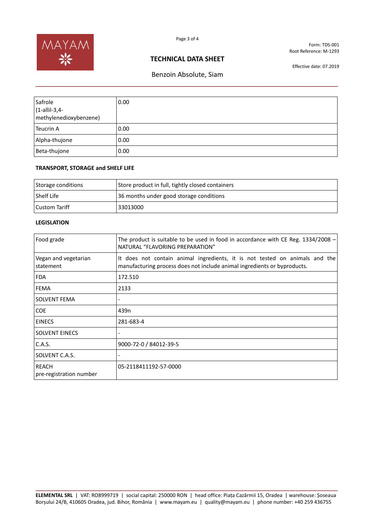

Form: TDS-001 Root Reference: M-1293

## **TECHNICAL DATA SHEET**

Effective date: 07.2019

# Benzoin Absolute, Siam **\_\_\_\_\_\_\_\_\_\_\_\_\_\_\_\_\_\_\_\_\_\_\_\_\_\_\_\_\_\_\_\_\_\_\_\_\_\_\_\_\_\_\_\_\_\_\_\_\_\_\_\_\_\_\_\_\_\_\_\_\_\_\_\_\_\_\_\_\_\_\_\_\_\_\_\_\_\_\_\_**

| Safrole<br>$(1$ -allil-3,4-<br>methylenedioxybenzene) | 0.00 |
|-------------------------------------------------------|------|
| <b>Teucrin A</b>                                      | 0.00 |
| Alpha-thujone                                         | 0.00 |
| Beta-thujone                                          | 0.00 |

#### **TRANSPORT, STORAGE and SHELF LIFE**

| Storage conditions | Store product in full, tightly closed containers |
|--------------------|--------------------------------------------------|
| l Shelf Life       | 36 months under good storage conditions          |
| l Custom Tariff    | 33013000                                         |

## **LEGISLATION**

| Food grade                              | The product is suitable to be used in food in accordance with CE Reg. $1334/2008$ -<br>NATURAL "FLAVORING PREPARATION"                                  |
|-----------------------------------------|---------------------------------------------------------------------------------------------------------------------------------------------------------|
| Vegan and vegetarian<br>statement       | It does not contain animal ingredients, it is not tested on animals and the<br>manufacturing process does not include animal ingredients or byproducts. |
| <b>FDA</b>                              | 172.510                                                                                                                                                 |
| <b>FEMA</b>                             | 2133                                                                                                                                                    |
| SOLVENT FEMA                            |                                                                                                                                                         |
| <b>COE</b>                              | 439 <sub>n</sub>                                                                                                                                        |
| <b>EINECS</b>                           | 281-683-4                                                                                                                                               |
| <b>SOLVENT EINECS</b>                   |                                                                                                                                                         |
| C.A.S.                                  | 9000-72-0 / 84012-39-5                                                                                                                                  |
| SOLVENT C.A.S.                          |                                                                                                                                                         |
| <b>REACH</b><br>pre-registration number | 05-2118411192-57-0000                                                                                                                                   |